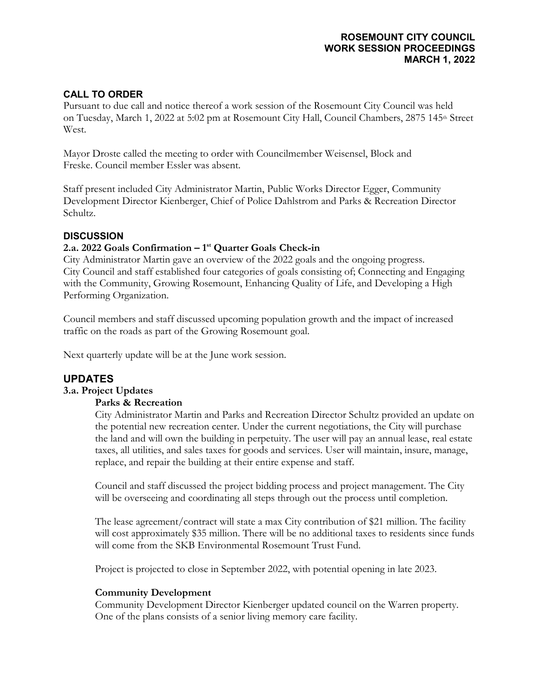# **ROSEMOUNT CITY COUNCIL WORK SESSION PROCEEDINGS MARCH 1, 2022**

# **CALL TO ORDER**

Pursuant to due call and notice thereof a work session of the Rosemount City Council was held on Tuesday, March 1, 2022 at 5:02 pm at Rosemount City Hall, Council Chambers, 2875 145<sup>th</sup> Street West.

Mayor Droste called the meeting to order with Councilmember Weisensel, Block and Freske. Council member Essler was absent.

Staff present included City Administrator Martin, Public Works Director Egger, Community Development Director Kienberger, Chief of Police Dahlstrom and Parks & Recreation Director Schultz.

# **DISCUSSION**

# **2.a. 2022 Goals Confirmation – 1st Quarter Goals Check-in**

City Administrator Martin gave an overview of the 2022 goals and the ongoing progress. City Council and staff established four categories of goals consisting of; Connecting and Engaging with the Community, Growing Rosemount, Enhancing Quality of Life, and Developing a High Performing Organization.

Council members and staff discussed upcoming population growth and the impact of increased traffic on the roads as part of the Growing Rosemount goal.

Next quarterly update will be at the June work session.

# **UPDATES**

# **3.a. Project Updates**

# **Parks & Recreation**

City Administrator Martin and Parks and Recreation Director Schultz provided an update on the potential new recreation center. Under the current negotiations, the City will purchase the land and will own the building in perpetuity. The user will pay an annual lease, real estate taxes, all utilities, and sales taxes for goods and services. User will maintain, insure, manage, replace, and repair the building at their entire expense and staff.

Council and staff discussed the project bidding process and project management. The City will be overseeing and coordinating all steps through out the process until completion.

The lease agreement/contract will state a max City contribution of \$21 million. The facility will cost approximately \$35 million. There will be no additional taxes to residents since funds will come from the SKB Environmental Rosemount Trust Fund.

Project is projected to close in September 2022, with potential opening in late 2023.

#### **Community Development**

Community Development Director Kienberger updated council on the Warren property. One of the plans consists of a senior living memory care facility.